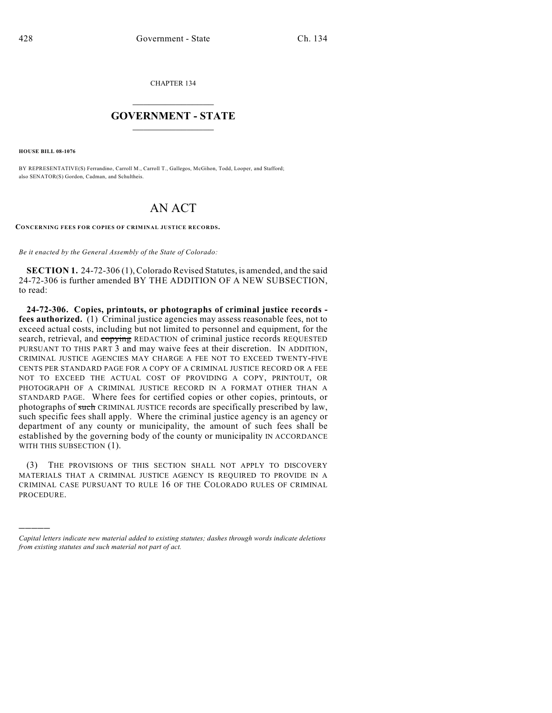CHAPTER 134

## $\mathcal{L}_\text{max}$  . The set of the set of the set of the set of the set of the set of the set of the set of the set of the set of the set of the set of the set of the set of the set of the set of the set of the set of the set **GOVERNMENT - STATE**  $\_$   $\_$

**HOUSE BILL 08-1076**

)))))

BY REPRESENTATIVE(S) Ferrandino, Carroll M., Carroll T., Gallegos, McGihon, Todd, Looper, and Stafford; also SENATOR(S) Gordon, Cadman, and Schultheis.

## AN ACT

**CONCERNING FEES FOR COPIES OF CRIMINAL JUSTICE RECORDS.**

*Be it enacted by the General Assembly of the State of Colorado:*

**SECTION 1.** 24-72-306 (1), Colorado Revised Statutes, is amended, and the said 24-72-306 is further amended BY THE ADDITION OF A NEW SUBSECTION, to read:

**24-72-306. Copies, printouts, or photographs of criminal justice records fees authorized.** (1) Criminal justice agencies may assess reasonable fees, not to exceed actual costs, including but not limited to personnel and equipment, for the search, retrieval, and copying REDACTION of criminal justice records REQUESTED PURSUANT TO THIS PART 3 and may waive fees at their discretion. IN ADDITION, CRIMINAL JUSTICE AGENCIES MAY CHARGE A FEE NOT TO EXCEED TWENTY-FIVE CENTS PER STANDARD PAGE FOR A COPY OF A CRIMINAL JUSTICE RECORD OR A FEE NOT TO EXCEED THE ACTUAL COST OF PROVIDING A COPY, PRINTOUT, OR PHOTOGRAPH OF A CRIMINAL JUSTICE RECORD IN A FORMAT OTHER THAN A STANDARD PAGE. Where fees for certified copies or other copies, printouts, or photographs of such CRIMINAL JUSTICE records are specifically prescribed by law, such specific fees shall apply. Where the criminal justice agency is an agency or department of any county or municipality, the amount of such fees shall be established by the governing body of the county or municipality IN ACCORDANCE WITH THIS SUBSECTION (1).

(3) THE PROVISIONS OF THIS SECTION SHALL NOT APPLY TO DISCOVERY MATERIALS THAT A CRIMINAL JUSTICE AGENCY IS REQUIRED TO PROVIDE IN A CRIMINAL CASE PURSUANT TO RULE 16 OF THE COLORADO RULES OF CRIMINAL PROCEDURE.

*Capital letters indicate new material added to existing statutes; dashes through words indicate deletions from existing statutes and such material not part of act.*